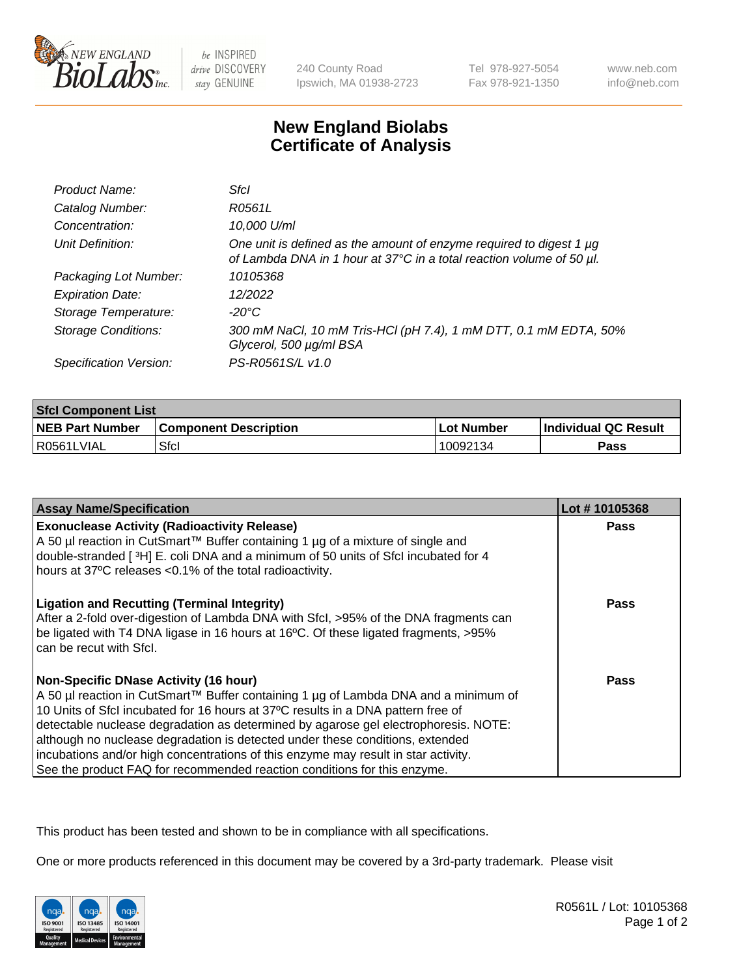

be INSPIRED drive DISCOVERY stay GENUINE

240 County Road Ipswich, MA 01938-2723 Tel 978-927-5054 Fax 978-921-1350

www.neb.com info@neb.com

## **New England Biolabs Certificate of Analysis**

| Product Name:              | Sfcl                                                                                                                                        |
|----------------------------|---------------------------------------------------------------------------------------------------------------------------------------------|
| Catalog Number:            | R0561L                                                                                                                                      |
| Concentration:             | 10,000 U/ml                                                                                                                                 |
| Unit Definition:           | One unit is defined as the amount of enzyme required to digest 1 µg<br>of Lambda DNA in 1 hour at 37°C in a total reaction volume of 50 µl. |
| Packaging Lot Number:      | 10105368                                                                                                                                    |
| <b>Expiration Date:</b>    | 12/2022                                                                                                                                     |
| Storage Temperature:       | -20°C                                                                                                                                       |
| <b>Storage Conditions:</b> | 300 mM NaCl, 10 mM Tris-HCl (pH 7.4), 1 mM DTT, 0.1 mM EDTA, 50%<br>Glycerol, 500 µg/ml BSA                                                 |
| Specification Version:     | PS-R0561S/L v1.0                                                                                                                            |

| <b>Sfcl Component List</b> |                              |                   |                      |  |
|----------------------------|------------------------------|-------------------|----------------------|--|
| <b>NEB Part Number</b>     | <b>Component Description</b> | <b>Lot Number</b> | Individual QC Result |  |
| R0561LVIAL                 | Sfcl                         | 10092134          | Pass                 |  |

| <b>Assay Name/Specification</b>                                                                                                                                                                                                                                                                                                                                                                                                                                                                                                                                   | Lot #10105368 |
|-------------------------------------------------------------------------------------------------------------------------------------------------------------------------------------------------------------------------------------------------------------------------------------------------------------------------------------------------------------------------------------------------------------------------------------------------------------------------------------------------------------------------------------------------------------------|---------------|
| <b>Exonuclease Activity (Radioactivity Release)</b><br>A 50 µl reaction in CutSmart™ Buffer containing 1 µg of a mixture of single and<br>double-stranded [3H] E. coli DNA and a minimum of 50 units of Sfcl incubated for 4<br>hours at 37°C releases <0.1% of the total radioactivity.                                                                                                                                                                                                                                                                          | <b>Pass</b>   |
| <b>Ligation and Recutting (Terminal Integrity)</b><br>After a 2-fold over-digestion of Lambda DNA with Sfcl, >95% of the DNA fragments can<br>be ligated with T4 DNA ligase in 16 hours at 16°C. Of these ligated fragments, >95%<br>can be recut with Sfcl.                                                                                                                                                                                                                                                                                                      | <b>Pass</b>   |
| <b>Non-Specific DNase Activity (16 hour)</b><br>A 50 µl reaction in CutSmart™ Buffer containing 1 µg of Lambda DNA and a minimum of<br>10 Units of SfcI incubated for 16 hours at 37°C results in a DNA pattern free of<br>detectable nuclease degradation as determined by agarose gel electrophoresis. NOTE:<br>although no nuclease degradation is detected under these conditions, extended<br>incubations and/or high concentrations of this enzyme may result in star activity.<br>See the product FAQ for recommended reaction conditions for this enzyme. | <b>Pass</b>   |

This product has been tested and shown to be in compliance with all specifications.

One or more products referenced in this document may be covered by a 3rd-party trademark. Please visit